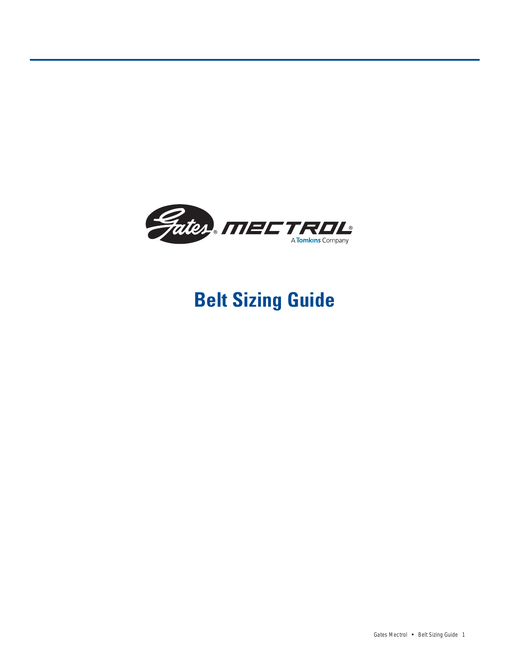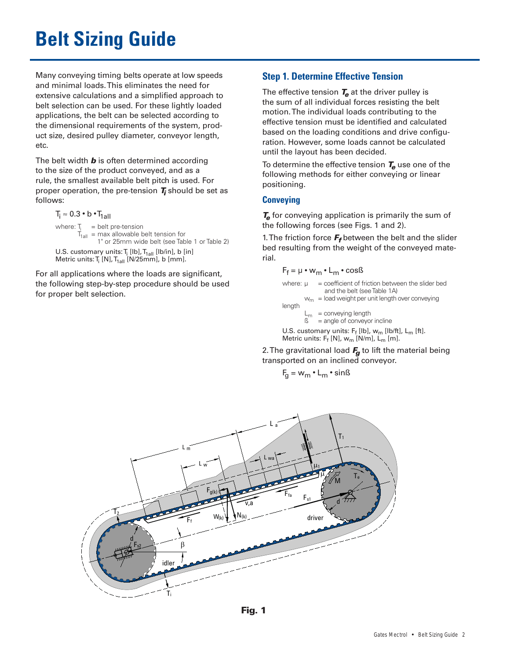Many conveying timing belts operate at low speeds and minimal loads. This eliminates the need for extensive calculations and a simplified approach to belt selection can be used. For these lightly loaded applications, the belt can be selected according to the dimensional requirements of the system, product size, desired pulley diameter, conveyor length, etc.

The belt width **b** is often determined according to the size of the product conveyed, and as a rule, the smallest available belt pitch is used. For proper operation, the pre-tension **T<sup>i</sup>** should be set as follows:

 $T_i \approx 0.3 \cdot b \cdot T_{1a||}$ where:  $T_i$  = belt pre-tension  $T_{\text{1all}}$  = max allowable belt tension for 1" or 25mm wide belt (see Table 1 or Table 2) U.S. customary units:  $T_i$  [lb],  $T_{1a}$ [lb/in], b [in] Metric units:  $T_i$  [N],  $T_{1}$ <sub>all</sub> [N/25mm], b [mm].

For all applications where the loads are significant, the following step-by-step procedure should be used for proper belt selection.

# **Step 1. Determine Effective Tension**

The effective tension **T<sup>e</sup>** at the driver pulley is the sum of all individual forces resisting the belt motion. The individual loads contributing to the effective tension must be identified and calculated based on the loading conditions and drive configuration. However, some loads cannot be calculated until the layout has been decided.

To determine the effective tension **T<sup>e</sup>** use one of the following methods for either conveying or linear positioning.

## **Conveying**

**<sup>T</sup><sup>e</sup>** for conveying application is primarily the sum of the following forces (see Figs. 1 and 2).

1. The friction force **F<sup>f</sup>** between the belt and the slider bed resulting from the weight of the conveyed material.

$$
F_f = \mu \cdot w_m \cdot L_m \cdot \cos s
$$
\nwhere:  $\mu$  = coefficient of friction between the slider bed and the belt (see Table 1A)  
\n $w_m$  = load weight per unit length over converging length  
\n $L_m$  = converging length  
\n $S$  = angle of convexor incline  
\nU.S. customary units:  $F_f$  [Ib],  $w_m$  [Ib/ft],  $L_m$  [ft].  
\nMetric units:  $F_f$  [N],  $w_m$  [N/m],  $L_m$  [m].

2. The gravitational load **F<sup>g</sup>** to lift the material being transported on an inclined conveyor.

$$
F_g = w_m \cdot L_m \cdot \sin\beta
$$



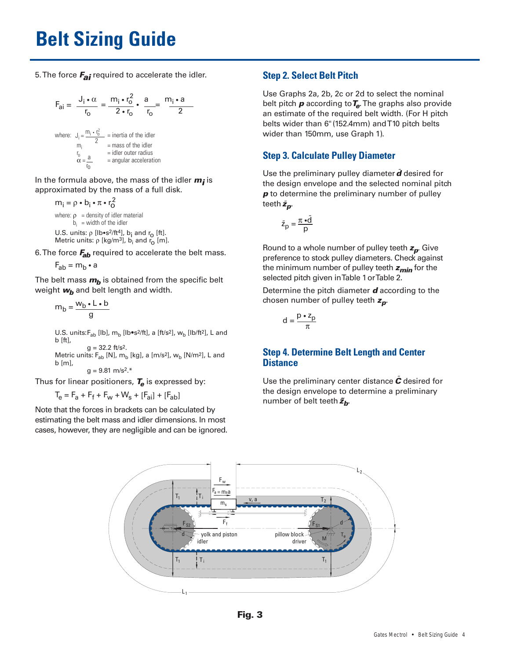5. The force **Fai** required to accelerate the idler.

$$
F_{ai} = \frac{J_i \cdot \alpha}{r_o} = \frac{m_i \cdot r_o^2}{2 \cdot r_o} \cdot \frac{a}{r_o} = \frac{m_i \cdot a}{2}
$$
  
where:  $J_i = \frac{m_i \cdot r_o^2}{2}$  = inertia of the idler  
 $m_i = \frac{m_i}{r_o}$  = mass of the idler  
 $\alpha = \frac{a}{r_o}$  = angular acceleration

In the formula above, the mass of the idler **<sup>m</sup><sup>i</sup>** is approximated by the mass of a full disk.

$$
m_i = \rho \cdot b_i \cdot \pi \cdot r_0^2
$$
  
where:  $\rho$  = density of idler material  
 $b_i$  = width of the idler  
U.S. units:  $\rho$  [lb-s<sup>2</sup>/ft<sup>4</sup>],  $b_i$  and  $r_0$  [ft].  
Metric units:  $\rho$  [kg/m<sup>3</sup>],  $b_i$  and  $r_0$  [m].

6. The force **Fab** required to accelerate the belt mass.

$$
F_{ab} = m_b \cdot a
$$

The belt mass  $m_b$  is obtained from the specific belt weight  $w_b$  and belt length and width.

$$
m_b = \frac{w_b \cdot L \cdot b}{g}
$$

U.S. units: $F_{ab}$  [lb],  $m_b$  [lb•s<sup>2</sup>/ft], a [ft/s<sup>2</sup>],  $w_b$  [lb/ft<sup>2</sup>], L and b [ft],  $g = 32.2$  ft/s<sup>2</sup>.

Metric units:  $F_{ab}$  [N],  $m_b$  [kg], a [m/s<sup>2</sup>],  $w_b$  [N/m<sup>2</sup>], L and b [m],

 $q = 9.81$  m/s<sup>2\*</sup>

Thus for linear positioners,  $T_e$  is expressed by:

 $T_e = F_a + F_f + F_w + W_s + [F_{ai}] + [F_{ab}]$ 

Note that the forces in brackets can be calculated by estimating the belt mass and idler dimensions. In most cases, however, they are negligible and can be ignored.

## **Step 2. Select Belt Pitch**

Use Graphs 2a, 2b, 2c or 2d to select the nominal belt pitch **<sup>p</sup>** according to**Te**. The graphs also provide an estimate of the required belt width. (For H pitch belts wider than 6"(152.4mm) and T10 pitch belts wider than 150mm, use Graph 1).

# **Step 3. Calculate Pulley Diameter**

Use the preliminary pulley diameter  $\tilde{d}$  desired for the design envelope and the selected nominal pitch *p* to determine the preliminary number of pulley teeth ˜**<sup>z</sup>p**.

$$
\tilde{z}_p = \frac{\pi \cdot \tilde{d}}{p}
$$

Round to a whole number of pulley teeth **<sup>z</sup>p**. Give preference to stock pulley diameters. Check against the minimum number of pulley teeth **<sup>z</sup>min** for the selected pitch given in Table 1 or Table 2.

Determine the pitch diameter **d** according to the chosen number of pulley teeth **<sup>z</sup>p**.

$$
d = \frac{p \cdot z_p}{\pi}
$$

## **Step 4. Determine Belt Length and Center Distance**

Use the preliminary center distance  $\tilde{c}$  desired for the design envelope to determine a preliminary number of belt teeth  $\tilde{z}_b$ .



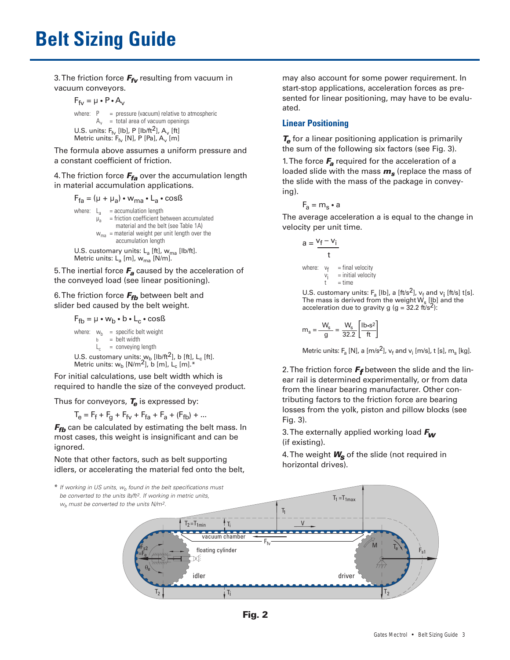3. The friction force **Ffv** resulting from vacuum in vacuum conveyors.

$$
F_{fv} = \mu \cdot P \cdot A_v
$$

where:  $P = pressure$  (vacuum) relative to atmospheric  $A_v$  = total area of vacuum openings U.S. units:  $F_{f_v}$  [lb], P [lb/ft<sup>2</sup>], A<sub>v</sub> [ft] Metric units:  $F_{f_V}$  [N], P [Pa], A<sub>v</sub> [m]

The formula above assumes a uniform pressure and a constant coefficient of friction.

4. The friction force **Ffa** over the accumulation length in material accumulation applications.

 $F_{fa} = (\mu + \mu_a) \cdot w_{ma} \cdot L_a \cdot \cos\beta$ 

where: 
$$
L_a
$$
 = accumulation length  
\n $\mu_a$  = friction coefficient between accumulated material and the belt (see Table 1A)  
\n $w_{ma}$  = material weight per unit length over the accumulation length  
\nU.S. customary units:  $L_a$  [ft],  $w_{ma}$  [lb/ft].

Metric units: L<sub>a</sub> [m], w<sub>ma</sub> [N/m].

5. The inertial force **F<sup>a</sup>** caused by the acceleration of the conveyed load (see linear positioning).

### 6. The friction force  $F_{fb}$  between belt and slider bed caused by the belt weight.

 $F_{fb} = \mu \cdot w_b \cdot b \cdot L_c \cdot \cos\beta$ 

where:  $w_b$  = specific belt weight b = belt width  $L_c$  = conveying length U.S. customary units:  $w_b$  [lb/ft<sup>2</sup>], b [ft], L<sub>c</sub> [ft]. Metric units:  $w_b$  [N/m<sup>2</sup>], b [m], L<sub>c</sub> [m].\*

For initial calculations, use belt width which is required to handle the size of the conveyed product.

Thus for conveyors, **T<sup>e</sup>** is expressed by:

 $T_{\text{e}} = F_{\text{f}} + F_{\text{q}} + F_{\text{fv}} + F_{\text{fa}} + F_{\text{a}} + (F_{\text{fb}}) + ...$ 

**F<sub>fb</sub>** can be calculated by estimating the belt mass. In most cases, this weight is insignificant and can be ignored.

Note that other factors, such as belt supporting idlers, or accelerating the material fed onto the belt, may also account for some power requirement. In start-stop applications, acceleration forces as presented for linear positioning, may have to be evaluated.

## **Linear Positioning**

**<sup>T</sup><sup>e</sup>** for a linear positioning application is primarily the sum of the following six factors (see Fig. 3).

1. The force **F<sup>a</sup>** required for the acceleration of a loaded slide with the mass **<sup>m</sup><sup>s</sup>** (replace the mass of the slide with the mass of the package in conveying).

$$
F_a = m_s \bullet a
$$

The average acceleration a is equal to the change in velocity per unit time.

$$
a = \frac{v_f - v_i}{t}
$$
  
where:  $v_f$  = final velocity  
 $v_i$  = initial velocity  
 $t$  = time

U.S. customary units: F<sub>a</sub> [lb], a [ft/s<sup>2</sup>], v<sub>f</sub> and v<sub>j</sub> [ft/s] t[s].<br>The mass is derived from the weight W<sub>s</sub> [l̥b] and the acceleration due to gravity g (g =  $32.2 \text{ ft/s}^2$ ):

$$
m_s = \frac{W_s}{g} = \frac{W_s}{32.2} \left[ \frac{lb \cdot s^2}{ft} \right]
$$

Metric units:  $F_a$  [N], a [m/s<sup>2</sup>],  $v_f$  and  $v_i$  [m/s], t [s], m<sub>s</sub> [kg].

2. The friction force **F<sup>f</sup>** between the slide and the linear rail is determined experimentally, or from data from the linear bearing manufacturer. Other contributing factors to the friction force are bearing losses from the yolk, piston and pillow blocks (see Fig. 3).

3. The externally applied working load **F<sup>w</sup>** (if existing).

4. The weight **W<sup>s</sup>** of the slide (not required in horizontal drives).



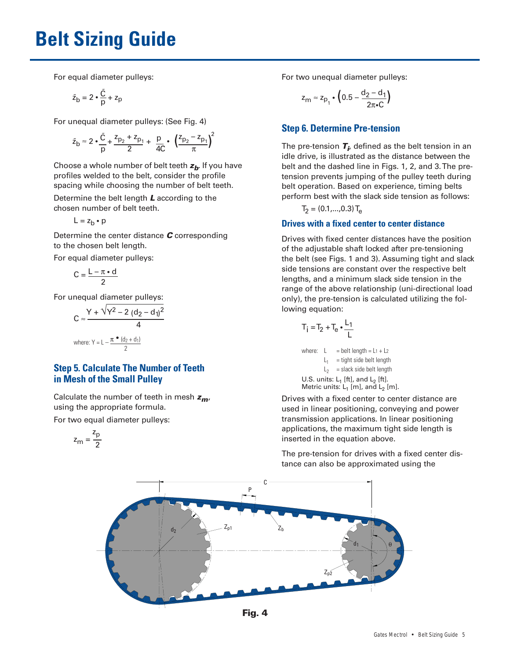For equal diameter pulleys:

$$
\tilde{z}_b = 2 \cdot \frac{\tilde{C}}{p} + z_p
$$

For unequal diameter pulleys: (See Fig. 4)

$$
\tilde{z}_{b} \approx 2 \cdot \frac{\tilde{C}}{p} + \frac{z_{p_2} + z_{p_1}}{2} + \frac{p}{4C} \cdot \left(\frac{z_{p_2} - z_{p_1}}{\pi}\right)^2
$$

Choose a whole number of belt teeth **<sup>z</sup>b**. If you have profiles welded to the belt, consider the profile spacing while choosing the number of belt teeth.

Determine the belt length **L** according to the chosen number of belt teeth.

$$
L = z_b \bullet p
$$

Determine the center distance **C** corresponding to the chosen belt length.

For equal diameter pulleys:

$$
C = \frac{L - \pi \cdot d}{2}
$$

For unequal diameter pulleys:

$$
C \approx \frac{Y + \sqrt{Y^2 - 2 (d_2 - d_1)^2}}{4}
$$
  
where: Y = L -  $\frac{\pi \cdot (d_2 + d_1)}{2}$ 

## **Step 5. Calculate The Number of Teeth in Mesh of the Small Pulley**

Calculate the number of teeth in mesh **<sup>z</sup>m**, using the appropriate formula.

For two equal diameter pulleys:

$$
z_m=\frac{z_p}{2}
$$

For two unequal diameter pulleys:

$$
z_{m} \approx z_{p_1} \cdot \left(0.5 - \frac{d_2 - d_1}{2\pi \cdot C}\right)
$$

## **Step 6. Determine Pre-tension**

The pre-tension **T<sup>i</sup>** , defined as the belt tension in an idle drive, is illustrated as the distance between the belt and the dashed line in Figs. 1, 2, and 3. The pretension prevents jumping of the pulley teeth during belt operation. Based on experience, timing belts perform best with the slack side tension as follows:

 $T_2 = (0.1,...,0.3) T_{\rm e}$ 

## **Drives with a fixed center to center distance**

Drives with fixed center distances have the position of the adjustable shaft locked after pre-tensioning the belt (see Figs. 1 and 3). Assuming tight and slack side tensions are constant over the respective belt lengths, and a minimum slack side tension in the range of the above relationship (uni-directional load only), the pre-tension is calculated utilizing the following equation:

$$
T_i = T_2 + T_e \cdot \frac{L_1}{L}
$$

where:  $L = \text{belt length} = L_1 + L_2$  $L_1$  = tight side belt length  $L<sub>2</sub>$  = slack side belt length U.S. units:  $L_1$  [ft], and  $L_2$  [ft]. Metric units:  $L_1$  [m], and  $L_2$  [m].

Drives with a fixed center to center distance are used in linear positioning, conveying and power transmission applications. In linear positioning applications, the maximum tight side length is inserted in the equation above.

The pre-tension for drives with a fixed center distance can also be approximated using the



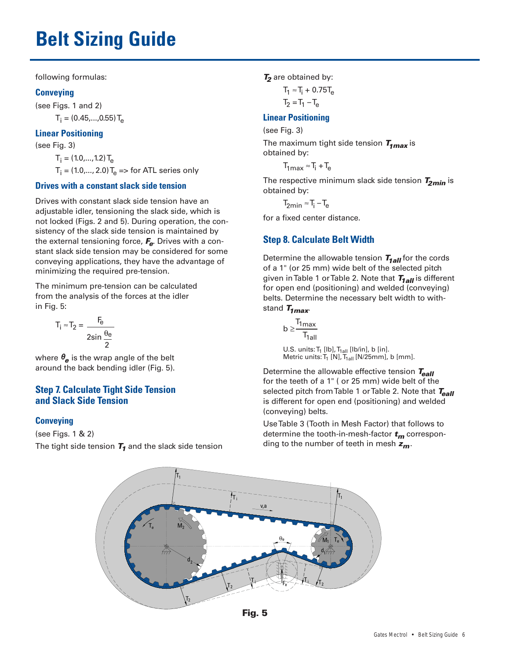following formulas:

## **Conveying**

(see Figs. 1 and 2)  $T_i = (0.45,...,0.55) T_{\rm e}$ 

## **Linear Positioning**

(see Fig. 3)

 $T_i = (1.0,...,1.2) T_e$  $T_i = (1.0,..., 2.0) T_e \Rightarrow$  for ATL series only

## **Drives with a constant slack side tension**

Drives with constant slack side tension have an adjustable idler, tensioning the slack side, which is not locked (Figs. 2 and 5). During operation, the consistency of the slack side tension is maintained by the external tensioning force, **Fe**. Drives with a constant slack side tension may be considered for some conveying applications, they have the advantage of minimizing the required pre-tension.

The minimum pre-tension can be calculated from the analysis of the forces at the idler in Fig. 5:

$$
T_1 \approx T_2 = \frac{F_e}{2\sin\frac{\theta_e}{2}}
$$

where  $\theta_{\bf a}$  is the wrap angle of the belt around the back bending idler (Fig. 5).

## **Step 7. Calculate Tight Side Tension and Slack Side Tension**

## **Conveying**

(see Figs. 1 & 2) The tight side tension **T<sup>1</sup>** and the slack side tension **<sup>T</sup><sup>2</sup>** are obtained by:

 $T_1 \approx T_i + 0.75T_e$  $T_2 = T_1 - T_e$ 

## **Linear Positioning**

(see Fig. 3)

The maximum tight side tension **T1max** is obtained by:

 $T_{1max} \approx T_i + T_e$ 

The respective minimum slack side tension **T2min** is obtained by:

 $T_{2min} \approx T_i - T_e$ 

for a fixed center distance.

# **Step 8. Calculate Belt Width**

Determine the allowable tension  $T_{1aII}$  for the cords of a 1" (or 25 mm) wide belt of the selected pitch given in Table 1 or Table 2. Note that  $T_{1aII}$  is different for open end (positioning) and welded (conveying) belts. Determine the necessary belt width to withstand  $T_{1max}$ .

$$
b \geq \frac{T_{1max}}{T_{1all}}
$$

U.S. units: T<sub>1</sub> [lb], T<sub>1all</sub> [lb/in], b [in]. Metric units:  $T_1$  [N],  $T_{1 \text{all}}$  [N/25mm], b [mm].

Determine the allowable effective tension  $T_{\text{call}}$ for the teeth of a 1" ( or 25 mm) wide belt of the selected pitch from Table 1 or Table 2. Note that Teall is different for open end (positioning) and welded (conveying) belts.

Use Table 3 (Tooth in Mesh Factor) that follows to determine the tooth-in-mesh-factor **<sup>t</sup><sup>m</sup>** corresponding to the number of teeth in mesh **<sup>z</sup>m**.



**Fig. 5**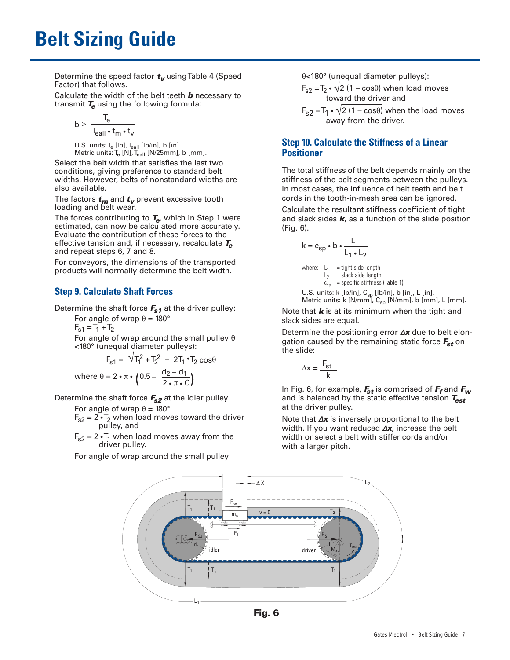Determine the speed factor **<sup>t</sup><sup>v</sup>** using Table 4 (Speed Factor) that follows.

Calculate the width of the belt teeth **b** necessary to transmit **T<sup>e</sup>** using the following formula:

$$
b \geq \ \frac{T_e}{T_{\text{call}} \cdot t_m \cdot t_v}
$$

U.S. units:  $T_{\rm e}$  [lb],  $T_{\rm eall}$  [lb/in], b [in]. Metric units:  $T_{\rm e}$  [N],  $T_{\rm eall}$  [N/25mm], b [mm].

Select the belt width that satisfies the last two conditions, giving preference to standard belt widths. However, belts of nonstandard widths are also available.

The factors **<sup>t</sup><sup>m</sup>** and **<sup>t</sup><sup>v</sup>** prevent excessive tooth loading and belt wear.

The forces contributing to **Te**, which in Step 1 were estimated, can now be calculated more accurately. Evaluate the contribution of these forces to the effective tension and, if necessary, recalculate **T<sup>e</sup>** and repeat steps 6, 7 and 8.

For conveyors, the dimensions of the transported products will normally determine the belt width.

# **Step 9. Calculate Shaft Forces**

Determine the shaft force  $F_{s1}$  at the driver pulley:

For angle of wrap  $\theta$  = 180°:  $F_{s1} = T_1 + T_2$ 

For angle of wrap around the small pulley  $\theta$ <180° (unequal diameter pulleys):

$$
F_{s1} = \sqrt{T_1^2 + T_2^2} - 2T_1 \cdot T_2 \cos\theta
$$
  
where  $\theta = 2 \cdot \pi \cdot (0.5 - \frac{d_2 - d_1}{2 \cdot \pi \cdot C})$ 

Determine the shaft force **Fs2** at the idler pulley:

For angle of wrap  $\theta = 180^\circ$ :

 $F_{s2} = 2 \cdot T_2$  when load moves toward the driver pulley, and

 $F_{s2}$  = 2  $\cdot$ T<sub>1</sub> when load moves away from the driver pulley.

For angle of wrap around the small pulley

θ<180° (unequal diameter pulleys):

 $F_{s2} = T_2 \cdot \sqrt{2 (1 - \cos \theta)}$  when load moves toward the driver and

 $F_{S2} = T_1 \cdot \sqrt{2} (1 - \cos\theta)$  when the load moves away from the driver.

## **Step 10. Calculate the Stiffness of a Linear Positioner**

The total stiffness of the belt depends mainly on the stiffness of the belt segments between the pulleys. In most cases, the influence of belt teeth and belt cords in the tooth-in-mesh area can be ignored.

Calculate the resultant stiffness coefficient of tight and slack sides **k**, as a function of the slide position (Fig. 6).

$$
k = c_{sp} \cdot b \cdot \frac{L}{L_1 \cdot L_2}
$$

where:  $L_1$  = tight side length  $L_2$  = slack side length  $c_{\text{sp}}$  = specific stiffness (Table 1). U.S. units: k [lb/in], C<sub>sp</sub> [lb/in], b [in], L [in].

Metric units: k [N/mm], C<sub>sp</sub> [N/mm], b [mm], L [mm].

Note that **k** is at its minimum when the tight and slack sides are equal.

Determine the positioning error <sup>Δ</sup>**<sup>x</sup>** due to belt elongation caused by the remaining static force **Fst** on the slide:

$$
\Delta x = \frac{F_{st}}{k}
$$

In Fig. 6, for example, **Fst** is comprised of **F<sup>f</sup>** and **F<sup>w</sup>** and is balanced by the static effective tension **Test** at the driver pulley.

Note that <sup>Δ</sup>**<sup>x</sup>** is inversely proportional to the belt width. If you want reduced <sup>Δ</sup>**x**, increase the belt width or select a belt with stiffer cords and/or with a larger pitch.



**Fig. 6**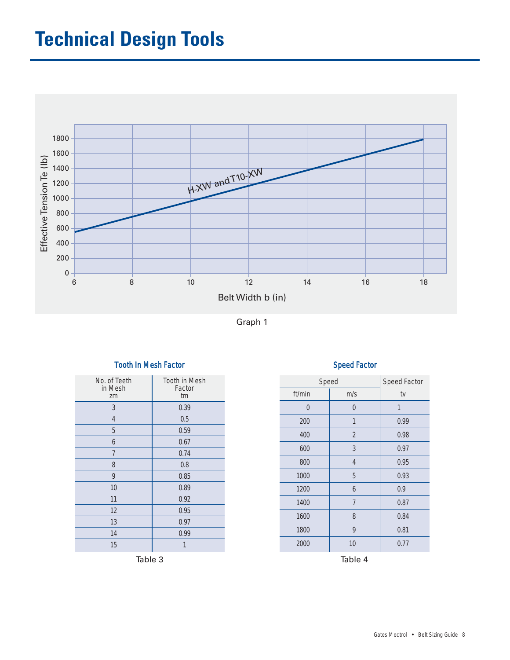# **Technical Design Tools**



Graph 1

# No. of Teeth | Tooth in Mesh in Mesh **Factor** zm and tm 3 0.39 4 0.5 5 0.59 6 0.67 7 0.74 8 0.8 9 0.85 10 0.89 11 0.92 12 0.95 13 0.97 14 0.99 15 1

## Tooth In Mesh Factor National Speed Factor Speed Factor

|         | Tooth in Mesh |  | Speed    |                  | Speed Factor |
|---------|---------------|--|----------|------------------|--------------|
|         | Factor<br>tm  |  | ft/min   | m/s              | tv           |
|         | 0.39          |  | $\theta$ | $\boldsymbol{0}$ | 1            |
|         | 0.5           |  | 200      | 1                | 0.99         |
|         | 0.59          |  | 400      | $\overline{2}$   | 0.98         |
|         | 0.67          |  | 600      | $\overline{3}$   | 0.97         |
|         | 0.74          |  |          |                  |              |
|         | 0.8           |  | 800      | $\overline{4}$   | 0.95         |
|         | 0.85          |  | 1000     | 5                | 0.93         |
|         | 0.89          |  | 1200     | $\boldsymbol{6}$ | 0.9          |
|         | 0.92          |  | 1400     | $\overline{7}$   | 0.87         |
|         | 0.95          |  | 1600     | 8                | 0.84         |
|         | 0.97          |  |          |                  |              |
|         | 0.99          |  | 1800     | 9                | 0.81         |
|         | 1             |  | 2000     | 10               | 0.77         |
| Table 3 |               |  | Table 4  |                  |              |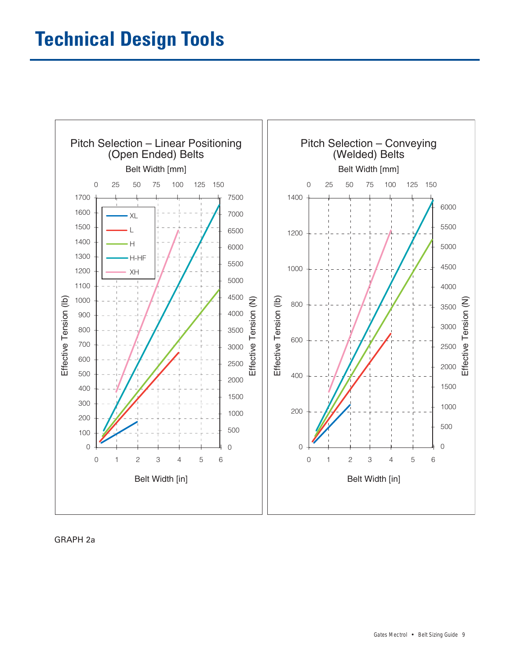

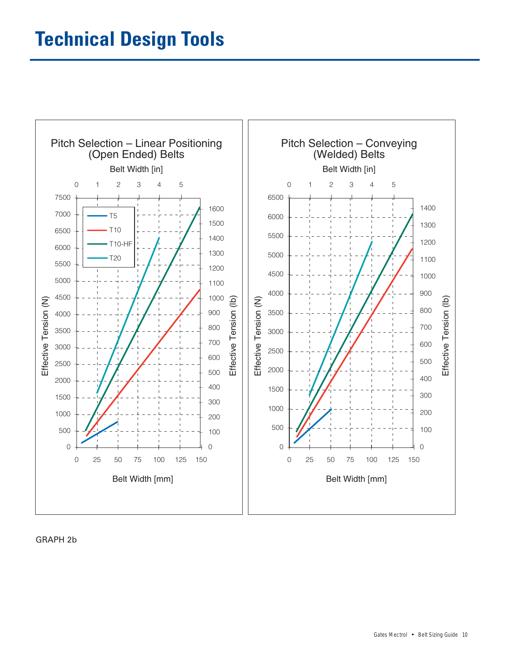

GRAPH 2b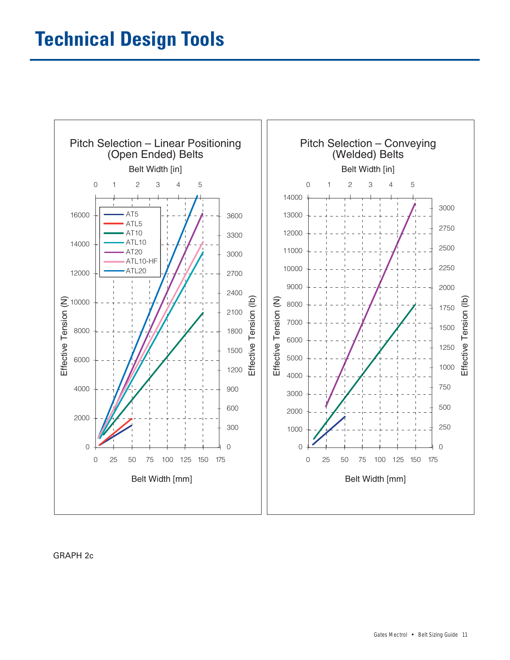

GRAPH 2c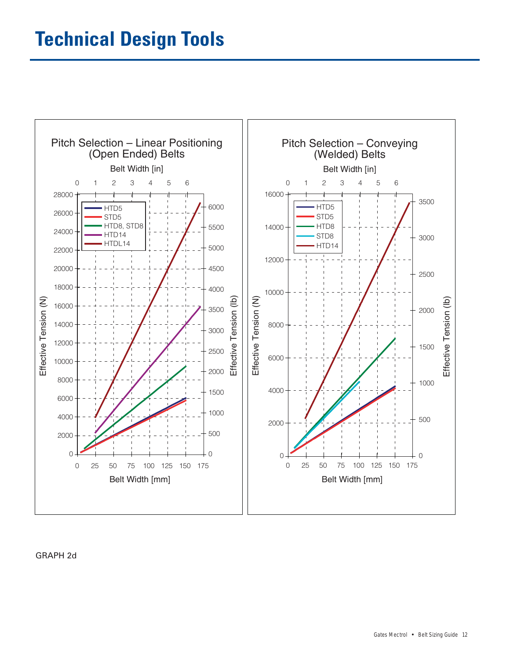

### GRAPH 2d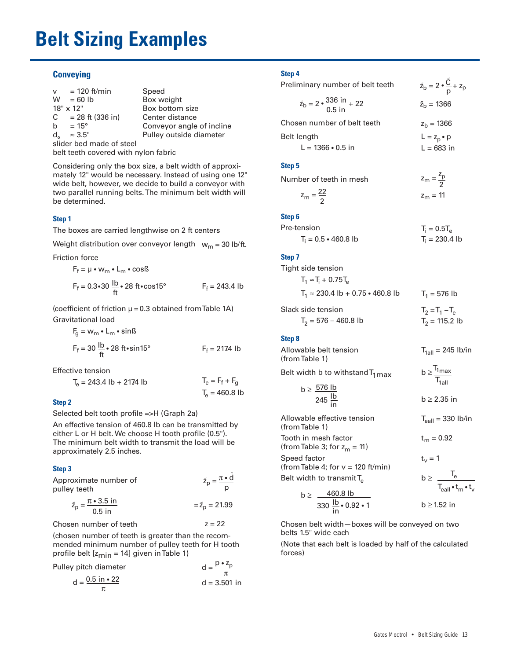# **Belt Sizing Examples**

### **Conveying**

| $v = 120$ ft/min               | Speed                     |
|--------------------------------|---------------------------|
| $W = 60 lb$                    | Box weight                |
| $18" \times 12"$               | Box bottom size           |
| $C = 28$ ft (336 in)           | Center distance           |
| b = $15^{\circ}$               | Conveyor angle of incline |
| $d_{\alpha}$<br>$\approx 3.5"$ | Pulley outside diameter   |
| slider bed made of steel       |                           |
|                                |                           |

belt teeth covered with nylon fabric

Considering only the box size, a belt width of approximately 12" would be necessary. Instead of using one 12" wide belt, however, we decide to build a conveyor with two parallel running belts. The minimum belt width will be determined.

#### **Step 1**

The boxes are carried lengthwise on 2 ft centers

Weight distribution over conveyor length  $\,$  w $_{\mathsf{m}}$  = 30 lb/ft.

Friction force

$$
F_f = \mu \cdot w_m \cdot L_m \cdot \cos\beta
$$
  
\n
$$
F_f = 0.3 \cdot 30 \frac{lb}{ft} \cdot 28 \text{ ft} \cdot \cos 15^\circ
$$
  
\n
$$
F_f = 243.4 \text{ lb}
$$

(coefficient of friction  $\mu$  = 0.3 obtained from Table 1A) Gravitational load

$$
F_g = w_m \cdot L_m \cdot \sin\theta
$$
  
\n
$$
F_f = 30 \frac{lb}{ft} \cdot 28 \text{ ft} \cdot \sin 15^\circ
$$
  
\n
$$
F_f = 2174 \text{ lb}
$$

Effective tension

$$
T_e = 243.4 \text{ lb} + 2174 \text{ lb}
$$
  
\n $T_e = F_f + F_g$   
\n $T_e = 460.8 \text{ lb}$ 

#### **Step 2**

Selected belt tooth profile =>H (Graph 2a)

An effective tension of 460.8 lb can be transmitted by either L or H belt. We choose H tooth profile (0.5"). The minimum belt width to transmit the load will be approximately 2.5 inches.

#### **Step 3**

| Approximate number of<br>pulley teeth                          | $\tilde{z}_p = \frac{\pi \cdot d}{\sigma}$ |
|----------------------------------------------------------------|--------------------------------------------|
| $\tilde{z}_p = \frac{\pi \cdot 3.5 \text{ in}}{2}$<br>$0.5$ in | $=\tilde{z}_p = 21.99$                     |

Chosen number of teeth  $z = 22$ 

(chosen number of teeth is greater than the recommended minimum number of pulley teeth for H tooth profile belt  $[z<sub>min</sub> = 14]$  given in Table 1)

| Pulley pitch diameter | $d = \frac{p \cdot z_p}{q}$ |
|-----------------------|-----------------------------|
|                       |                             |

$$
d = \frac{0.5 \text{ in} \cdot 22}{\pi} \qquad d = 3.501 \text{ in}
$$

### **Step 4**

| Preliminary number of belt teeth                                            | $\tilde{z}_b = 2 \cdot \frac{C}{p} + z_p$ |
|-----------------------------------------------------------------------------|-------------------------------------------|
| $\tilde{z}_{\text{b}} = 2 \cdot \frac{336 \text{ in}}{0.5 \text{ in}} + 22$ | $\tilde{z}_{h}$ = 1366                    |
| Chosen number of belt teeth                                                 | $z_h = 1366$                              |
| <b>Belt length</b>                                                          | $L = z_p \cdot p$                         |
| $L = 1366 \cdot 0.5$ in                                                     | $L = 683$ in                              |
|                                                                             |                                           |

### **Step 5**

| Number of teeth in mesh | $z_m = \frac{2p}{2}$ |
|-------------------------|----------------------|
| $z_m = \frac{22}{2}$    | $z_{\rm m} = 11$     |

### **Step 6**

| Pre-tension                | $T_i = 0.5T_e$   |
|----------------------------|------------------|
| $T_i = 0.5 \cdot 460.8$ lb | $T_i = 230.4$ lb |

#### **Step 7**

| Tight side tension                       |                   |  |  |
|------------------------------------------|-------------------|--|--|
| $T_1 \approx T_1 + 0.75T_2$              |                   |  |  |
| $T_1 \approx 230.4$ lb + 0.75 • 460.8 lb | $T_1 = 576$ lb    |  |  |
| Slack side tension                       | $T_2 = T_1 - T_2$ |  |  |

| ack side tehsion.      | $12 = 11 - 19$   |
|------------------------|------------------|
| $T_2$ = 576 – 460.8 lb | $T_2$ = 115.2 lb |

#### **Step 8**

| Allowable belt tension<br>(from Table 1)                            | $T_{\text{fall}}$ = 245 lb/in                            |
|---------------------------------------------------------------------|----------------------------------------------------------|
| Belt width b to withstand $T_{1max}$                                | $b \geq \frac{T_{1max}}{T_{1all}}$                       |
| b $\geq \frac{576 \text{ lb}}{245 \text{ lb}}$                      | $b \geq 2.35$ in                                         |
| Allowable effective tension<br>(from Table 1)                       | $T_{\text{call}}$ = 330 lb/in                            |
| Tooth in mesh factor<br>(from Table 3; for $z_m = 11$ )             | $t_m = 0.92$                                             |
| Speed factor<br>(from Table 4; for $v = 120$ ft/min)                | $t_v = 1$                                                |
| Belt width to transmit $T_e$                                        | $b \geq \frac{T_e}{T_{\text{call}} \cdot t_m \cdot t_v}$ |
|                                                                     |                                                          |
| b $\geq \frac{460.8 \text{ lb}}{330 \text{ lb} \cdot 0.92 \cdot 1}$ | $b \geq 1.52$ in                                         |

Chosen belt width—boxes will be conveyed on two belts 1.5" wide each

(Note that each belt is loaded by half of the calculated forces)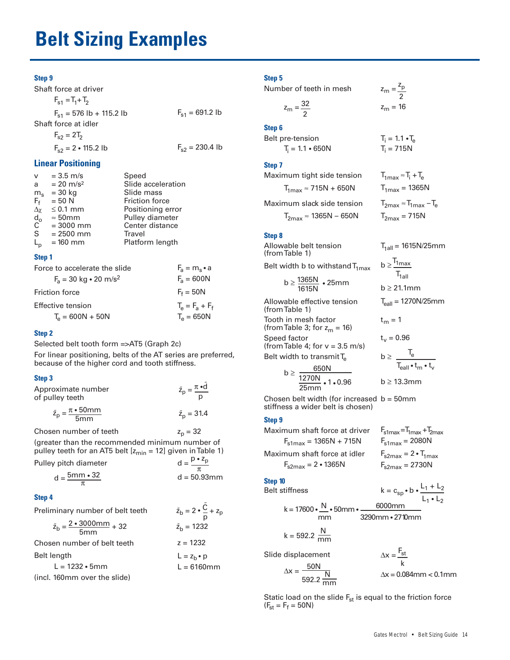# **Belt Sizing Examples**

### **Step 9**

Shaft force at driver

 $F_{s1} = T_1 + T_2$  $F_{s1}$  = 576 lb + 115.2 lb Shaft force at idler  $F_{s1} = 691.2$  lb

 $F_{s2} = 2T_2$  $F_{s2} = 2 \cdot 115.2$  lb

#### **Linear Positioning**

| v                                    | $= 3.5$ m/s               | Speed                 |
|--------------------------------------|---------------------------|-----------------------|
| a                                    | $= 20$ m/s <sup>2</sup>   | Slide acceleration    |
| $m_{\rm s}$                          | $= 30$ kg                 | Slide mass            |
| $F_f$                                | $= 50 N$                  | <b>Friction force</b> |
|                                      | $\Delta \chi \leq 0.1$ mm | Positioning error     |
| $\overset{\mathsf{d_o}}{\mathsf{C}}$ | $\approx$ 50mm            | Pulley diameter       |
|                                      | $= 3000$ mm               | Center distance       |
| S                                    | $= 2500$ mm               | Travel                |
| $\mathsf{L}_{\mathsf{p}}$            | $= 160$ mm                | Platform length       |
|                                      |                           |                       |

#### **Step 1**

| Force to accelerate the slide                | $F_a = m_e \cdot a$     |
|----------------------------------------------|-------------------------|
| $F_a = 30 \text{ kg} \cdot 20 \text{ m/s}^2$ | $F_a = 600N$            |
| <b>Friction force</b>                        | $F_f = 50N$             |
| Effective tension                            | $T_{0} = F_{2} + F_{f}$ |
| $T_{\rm e} = 600N + 50N$                     | $T_e = 650N$            |

#### **Step 2**

Selected belt tooth form =>AT5 (Graph 2c)

For linear positioning, belts of the AT series are preferred, because of the higher cord and tooth stiffness.

#### **Step 3**

| Approximate number<br>of pulley teeth                          | $\tilde{z}_p = \frac{\pi \cdot d}{\pi}$ |
|----------------------------------------------------------------|-----------------------------------------|
| $\tilde{z}_p = \frac{\pi \cdot 50 \text{mm}}{\sqrt{2}}$<br>5mm | $\tilde{z}_n = 31.4$                    |

Chosen number of teeth (greater than the recommended minimum number of  $z_p = 32$ 

pulley teeth for an AT5 belt  $[z<sub>min</sub> = 12]$  given in Table 1) Pulley pitch diameter  $p \cdot z_p$ 

| y pitch diameter            |                |
|-----------------------------|----------------|
|                             |                |
| $d = \frac{5m}{m} \cdot 32$ | $d = 50.93$ mm |
|                             |                |

#### **Step 4**

 $\overline{B}$ 

| Preliminary number of belt teeth                                         | $\tilde{z}_b = 2 \cdot \frac{C}{2} + z_p$ |
|--------------------------------------------------------------------------|-------------------------------------------|
| $\tilde{z}_{\text{b}} = \frac{2 \cdot 3000 \text{mm}}{5 \text{mm}} + 32$ | $\tilde{z}_{h}$ = 1232                    |
| Chosen number of belt teeth                                              | $z = 1232$                                |
| Belt length                                                              | $L = zh \cdot p$                          |
| $L = 1232 \cdot 5 \, \text{mm}$                                          | $L = 6160$ mm                             |

(incl. 160mm over the slide)

### **Step 5**

Number of teeth in mesh

| 22<br>$\overline{\phantom{a}}$ |  |
|--------------------------------|--|
| ۴<br>.<br>.                    |  |

 $z_m = \frac{z_p}{2}$ 

 $z_m = 16$ 

 $T_i = 1.1 \cdot T_e$  $T_i = 715N$ 

 $T_{1max}$  = 1365N  $T_{2max} \approx T_{1max} - T_e$ 

 $T_{2max}$  = 715N

 $t_m = 1$ 

 $t_v = 0.96$ 

 $b \geq \frac{T_e}{\sqrt{2}}$ 

 $h > T$ 1max  $T_{\text{1all}}$ 

b ≥ 21.1mm

b ≥ 13.3mm

 $T_{1all} = 1615N/25mm$ 

 $T_{\text{eall}} = 1270N/25mm$ 

 $\mathsf{T}_{\mathsf{call}} \bullet \mathsf{t}_{\mathsf{m}} \bullet \mathsf{t}_{\mathsf{v}}$ 

 $T_{1max} \approx T_i + T_e$ 

#### **Step 6**

 $F_{s2}$  = 230.4 lb

Belt pre-tension  $T_i = 1.1 \cdot 650N$ 

## **Step 7**

Maximum tight side tension  $T_{1max} \approx 715N + 650N$ 

Maximum slack side tension

 $T_{2max}$  ≈ 1365N – 650N

#### **Step 8**

Allowable belt tension (from Table 1) Belt width b to withstand  $T_{1max}$ b ≥  $\frac{1365N}{1615N}$  • 25mm

Allowable effective tension (from Table 1) Tooth in mesh factor (from Table 3; for  $z_m = 16$ ) Speed factor (from Table 4; for  $v = 3.5$  m/s) Belt width to transmit  $T_e$ 

$$
b \geq \frac{650N}{\frac{1270N}{25mm} \cdot 1 \cdot 0.96}
$$

Chosen belt width (for increased b = 50mm stiffness a wider belt is chosen)

#### **Step 9**

Maximum shaft force at driver  $F_{s1max} = 1365N + 715N$ Maximum shaft force at idler  $F_{s2max} = 2 \cdot 1365N$  $F_{\text{slmax}} = 2080N$  $F_{\text{slmax}} = T_{1\text{max}} + T_{2\text{max}}$  $F_{s2max}$  = 2730N  $F_{s2max} = 2 \cdot T_{1max}$ 

#### **Step 10**

```
Belt stiffness
```

$$
k = 17600 \cdot \frac{N}{mm} \cdot 50mm \cdot \frac{6000mm}{3290mm \cdot 2710mm}
$$

$$
k = 592.2 \frac{N}{mm}
$$

Slide displacement

$$
\Delta x = \frac{50N}{N}
$$

592.2  $\frac{\text{N}}{\text{mm}}$ 

$$
k
$$
  

$$
\Delta x = 0.084 \text{mm} < 0.1 \text{mm}
$$

 $\Delta x = \frac{F_{st}}{F}$ 

 $k = c_{sp} \cdot b \cdot \frac{L_1 + L_2}{l_1 + L_2}$ 

 $L_1 \cdot L_2$ 

Static load on the slide  $F_{st}$  is equal to the friction force  $(F_{st} = F_f = 50N)$